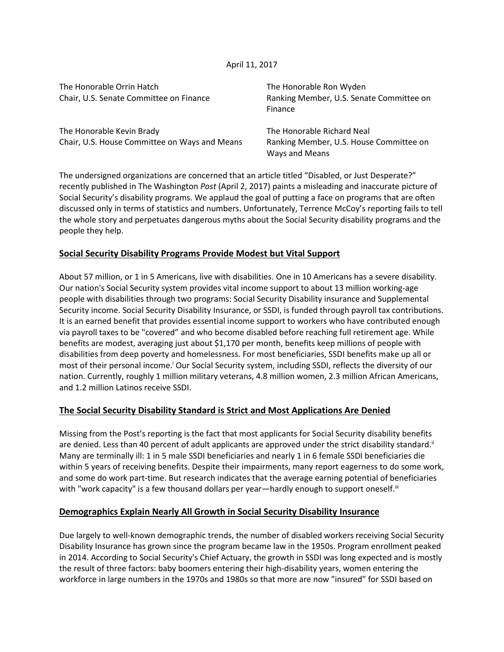### April 11, 2017

| The Honorable Orrin Hatch                     | The Honorable Ron Wyden                                   |
|-----------------------------------------------|-----------------------------------------------------------|
| Chair, U.S. Senate Committee on Finance       | Ranking Member, U.S. Senate Committee on<br>Finance       |
| The Honorable Kevin Brady                     | The Honorable Richard Neal                                |
| Chair, U.S. House Committee on Ways and Means | Ranking Member, U.S. House Committee on<br>Ways and Means |

The undersigned organizations are concerned that an article titled "Disabled, or Just Desperate?" recently published in The Washington *Post* (April 2, 2017) paints a misleading and inaccurate picture of Social Security's disability programs. We applaud the goal of putting a face on programs that are often discussed only in terms of statistics and numbers. Unfortunately, Terrence McCoy's reporting fails to tell the whole story and perpetuates dangerous myths about the Social Security disability programs and the people they help.

## **Social Security Disability Programs Provide Modest but Vital Support**

About 57 million, or 1 in 5 Americans, live with disabilities. One in 10 Americans has a severe disability. Our nation's Social Security system provides vital income support to about 13 million working-age people with disabilities through two programs: Social Security Disability insurance and Supplemental Security income. Social Security Disability Insurance, or SSDI, is funded through payroll tax contributions. It is an earned benefit that provides essential income support to workers who have contributed enough via payroll taxes to be "covered" and who become disabled before reaching full retirement age. While benefits are modest, averaging just about \$1,170 per month, benefits keep millions of people with disabilities from deep poverty and homelessness. For most beneficiaries, SSDI benefits make up all or most of their personal income.<sup>i</sup> Our Social Security system, including SSDI, reflects the diversity of our nation. Currently, roughly 1 million military veterans, 4.8 million women, 2.3 million African Americans, and 1.2 million Latinos receive SSDI.

## **The Social Security Disability Standard is Strict and Most Applications Are Denied**

Missing from the Post's reporting is the fact that most applicants for Social Security disability benefits are denied. Less than 40 percent of adult applicants are approved under the strict disability standard.<sup>ii</sup> Many are terminally ill: 1 in 5 male SSDI beneficiaries and nearly 1 in 6 female SSDI beneficiaries die within 5 years of receiving benefits. Despite their impairments, many report eagerness to do some work, and some do work part-time. But research indicates that the average earning potential of beneficiaries with "work capacity" is a few thousand dollars per year—hardly enough to support oneself.<sup>iii</sup>

## **Demographics Explain Nearly All Growth in Social Security Disability Insurance**

Due largely to well-known demographic trends, the number of disabled workers receiving Social Security Disability Insurance has grown since the program became law in the 1950s. Program enrollment peaked in 2014. According to Social Security's Chief Actuary, the growth in SSDI was long expected and is mostly the result of three factors: baby boomers entering their high-disability years, women entering the workforce in large numbers in the 1970s and 1980s so that more are now "insured" for SSDI based on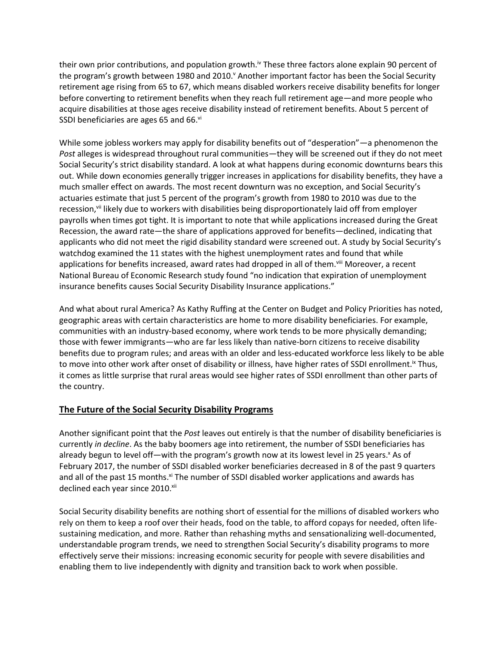their own prior contributions, and population growth.<sup>iv</sup> These three factors alone explain 90 percent of the program's growth between 1980 and 2010. Another important factor has been the Social Security retirement age rising from 65 to 67, which means disabled workers receive disability benefits for longer before converting to retirement benefits when they reach full retirement age—and more people who acquire disabilities at those ages receive disability instead of retirement benefits. About 5 percent of SSDI beneficiaries are ages 65 and 66.vi

While some jobless workers may apply for disability benefits out of "desperation"—a phenomenon the *Post* alleges is widespread throughout rural communities—they will be screened out if they do not meet Social Security's strict disability standard. A look at what happens during economic downturns bears this out. While down economies generally trigger increases in applications for disability benefits, they have a much smaller effect on awards. The most recent downturn was no exception, and Social Security's actuaries estimate that just 5 percent of the program's growth from 1980 to 2010 was due to the recession,<sup>vii</sup> likely due to workers with disabilities being disproportionately laid off from employer payrolls when times got tight. It is important to note that while applications increased during the Great Recession, the award rate—the share of applications approved for benefits—declined, indicating that applicants who did not meet the rigid disability standard were screened out. A study by Social Security's watchdog examined the 11 states with the highest unemployment rates and found that while applications for benefits increased, award rates had dropped in all of them. Vill Moreover, a recent National Bureau of Economic Research study found "no indication that expiration of unemployment insurance benefits causes Social Security Disability Insurance applications."

And what about rural America? As Kathy Ruffing at the Center on Budget and Policy Priorities has noted, geographic areas with certain characteristics are home to more disability beneficiaries. For example, communities with an industry-based economy, where work tends to be more physically demanding; those with fewer immigrants—who are far less likely than native-born citizens to receive disability benefits due to program rules; and areas with an older and less-educated workforce less likely to be able to move into other work after onset of disability or illness, have higher rates of SSDI enrollment.<sup>ix</sup> Thus, it comes as little surprise that rural areas would see higher rates of SSDI enrollment than other parts of the country.

# **The Future of the Social Security Disability Programs**

Another significant point that the *Post* leaves out entirely is that the number of disability beneficiaries is currently *in decline*. As the baby boomers age into retirement, the number of SSDI beneficiaries has already begun to level off—with the program's growth now at its lowest level in 25 years.<sup>x</sup> As of February 2017, the number of SSDI disabled worker beneficiaries [decreased in 8 of the past 9 quarters](http://www.ssa.gov/OACT/STATS/dibStat.html)  [and all of the past 15 months.](http://www.ssa.gov/OACT/STATS/dibStat.html)<sup>xi</sup> The number of SSDI disabled worker applications and awards has [declined each year since 2010.](https://www.ssa.gov/OACT/STATS/dibStat.html)<sup>xii</sup>

Social Security disability benefits are nothing short of essential for the millions of disabled workers who rely on them to keep a roof over their heads, food on the table, to afford copays for needed, often lifesustaining medication, and more. Rather than rehashing myths and sensationalizing well-documented, understandable program trends, we need to strengthen Social Security's disability programs to more effectively serve their missions: increasing economic security for people with severe disabilities and enabling them to live independently with dignity and transition back to work when possible.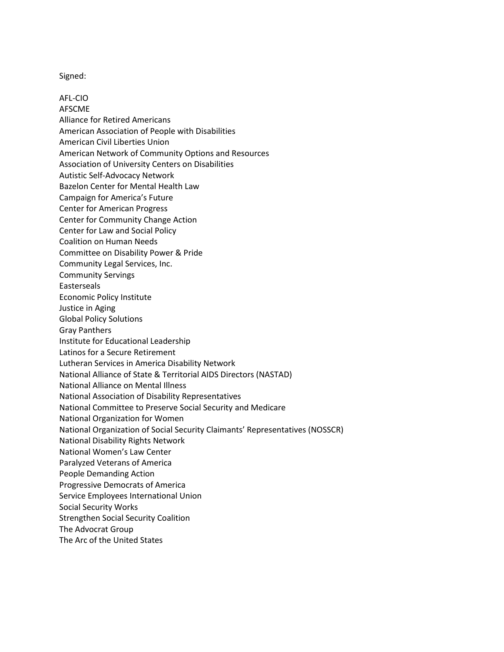Signed:

AFL-CIO AFSCME Alliance for Retired Americans American Association of People with Disabilities American Civil Liberties Union American Network of Community Options and Resources Association of University Centers on Disabilities Autistic Self-Advocacy Network Bazelon Center for Mental Health Law Campaign for America's Future Center for American Progress Center for Community Change Action Center for Law and Social Policy Coalition on Human Needs Committee on Disability Power & Pride Community Legal Services, Inc. Community Servings Easterseals Economic Policy Institute Justice in Aging Global Policy Solutions Gray Panthers Institute for Educational Leadership Latinos for a Secure Retirement Lutheran Services in America Disability Network National Alliance of State & Territorial AIDS Directors (NASTAD) National Alliance on Mental Illness National Association of Disability Representatives National Committee to Preserve Social Security and Medicare National Organization for Women National Organization of Social Security Claimants' Representatives (NOSSCR) National Disability Rights Network National Women's Law Center Paralyzed Veterans of America People Demanding Action Progressive Democrats of America Service Employees International Union Social Security Works Strengthen Social Security Coalition The Advocrat Group The Arc of the United States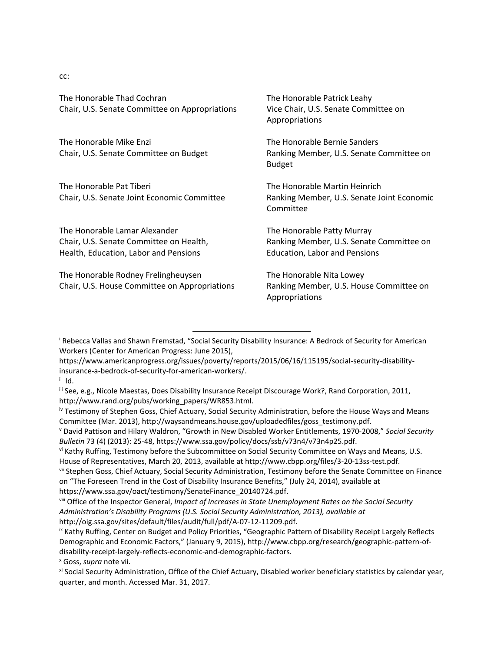cc:

| The Honorable Thad Cochran<br>Chair, U.S. Senate Committee on Appropriations                                      | The Honorable Patrick Leahy<br>Vice Chair, U.S. Senate Committee on<br>Appropriations                          |
|-------------------------------------------------------------------------------------------------------------------|----------------------------------------------------------------------------------------------------------------|
| The Honorable Mike Enzi<br>Chair, U.S. Senate Committee on Budget                                                 | The Honorable Bernie Sanders<br>Ranking Member, U.S. Senate Committee on<br><b>Budget</b>                      |
| The Honorable Pat Tiberi<br>Chair, U.S. Senate Joint Economic Committee                                           | The Honorable Martin Heinrich<br>Ranking Member, U.S. Senate Joint Economic<br>Committee                       |
| The Honorable Lamar Alexander<br>Chair, U.S. Senate Committee on Health,<br>Health, Education, Labor and Pensions | The Honorable Patty Murray<br>Ranking Member, U.S. Senate Committee on<br><b>Education, Labor and Pensions</b> |
| The Honorable Rodney Frelingheuysen<br>Chair, U.S. House Committee on Appropriations                              | The Honorable Nita Lowey<br>Ranking Member, U.S. House Committee on<br>Appropriations                          |

<sup>i</sup> Rebecca Vallas and Shawn Fremstad, "Social Security Disability Insurance: A Bedrock of Security for American Workers (Center for American Progress: June 2015),

[https://www.americanprogress.org/issues/poverty/reports/2015/06/16/115195/social-security-disability](https://www.americanprogress.org/issues/poverty/reports/2015/06/16/115195/social-security-disability-insurance-a-bedrock-of-security-for-american-workers/)[insurance-a-bedrock-of-security-for-american-workers/.](https://www.americanprogress.org/issues/poverty/reports/2015/06/16/115195/social-security-disability-insurance-a-bedrock-of-security-for-american-workers/) 

 $\overline{\phantom{0}}$ 

x Goss, *supra* note vii.

ii Id.

iii See, e.g., Nicole Maestas, Does Disability Insurance Receipt Discourage Work?, Rand Corporation, 2011, http://www.rand.org/pubs/working\_papers/WR853.html.

iv Testimony of Stephen Goss, Chief Actuary, Social Security Administration, before the House Ways and Means Committee (Mar. 2013), http://waysandmeans.house.gov/uploadedfiles/goss\_testimony.pdf.

<sup>v</sup> David Pattison and Hilary Waldron, "Growth in New Disabled Worker Entitlements, 1970-2008," *Social Security Bulletin* 73 (4) (2013): 25-48, https://www.ssa.gov/policy/docs/ssb/v73n4/v73n4p25.pdf.

vi Kathy Ruffing, Testimony before the Subcommittee on Social Security Committee on Ways and Means, U.S. House of Representatives, March 20, 2013, available at http://www.cbpp.org/files/3-20-13ss-test.pdf.

vii Stephen Goss, Chief Actuary, Social Security Administration, Testimony before the Senate Committee on Finance on "The Foreseen Trend in the Cost of Disability Insurance Benefits," (July 24, 2014), available at [https://www.ssa.gov/oact/testimony/SenateFinance\\_20140724.pdf.](https://www.ssa.gov/oact/testimony/SenateFinance_20140724.pdf)

viii Office of the Inspector General, *Impact of Increases in State Unemployment Rates on the Social Security Administration's Disability Programs (U.S. Social Security Administration, 2013), available at*  http://oig.ssa.gov/sites/default/files/audit/full/pdf/A-07-12-11209.pdf.

ix Kathy Ruffing, Center on Budget and Policy Priorities, "Geographic Pattern of Disability Receipt Largely Reflects Demographic and Economic Factors," (January 9, 2015), [http://www.cbpp.org/research/geographic-pattern-of](http://www.cbpp.org/research/geographic-pattern-of-disability-receipt-largely-reflects-economic-and-demographic-factors)[disability-receipt-largely-reflects-economic-and-demographic-factors.](http://www.cbpp.org/research/geographic-pattern-of-disability-receipt-largely-reflects-economic-and-demographic-factors)

xi Social Security Administration, Office of the Chief Actuary, Disabled worker beneficiary statistics by calendar year, quarter, and month. Accessed Mar. 31, 2017.